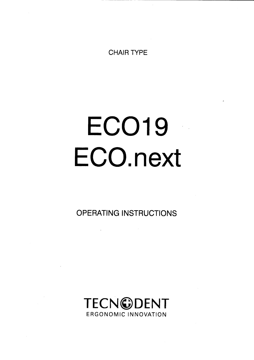CHAIR TYPE

# ECO19 ECO.next

OPERATING INSTRUCTIONS

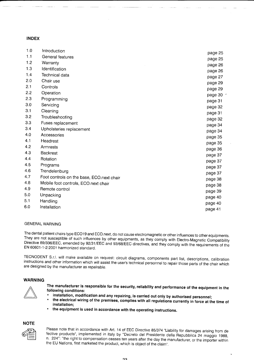#### INDEX

| 1.0 | Introduction                              |         |
|-----|-------------------------------------------|---------|
| 1.1 | General features                          | page 25 |
| 1.2 | Warranty                                  | page 25 |
| 1.3 | Identification                            | page 26 |
| 1.4 | Technical data                            | page 26 |
| 2.0 | Chair use                                 | page 27 |
| 2.1 | Controls                                  | page 29 |
| 2.2 | Operation                                 | page 29 |
| 2.3 | Programming                               | page 30 |
| 3.0 | Servicing                                 | page 31 |
| 3.1 | Cleaning                                  | page 32 |
| 3.2 | Troubleshooting                           | page 31 |
| 3.3 | Fuses replacement                         | page 32 |
| 3.4 | Upholsteries replacement                  | page 34 |
| 4.0 | Accessories                               | page 34 |
| 4.1 | Headrest                                  | page 35 |
| 4.2 | Armrests                                  | page 35 |
| 4.3 | <b>Backrest</b>                           | page 36 |
| 4.4 | Rotation                                  | page 37 |
| 4.5 |                                           | page 37 |
| 4.6 | Programs                                  | page 37 |
| 4.7 | Trendelenburg                             | page 37 |
|     | Foot controls on the base, ECO next chair | page 38 |
| 4.8 | Mobile foot controls, ECO.next chair      | page 38 |
| 4.9 | Remote control                            | page 39 |
| 5.0 | Unpacking                                 | page 40 |
| 5.1 | Handling                                  | page 40 |
| 6.0 | Installation                              | page 41 |

#### GENERAL WARNING

The dental patient chairs type ECO19 and ECO.next, do not cause electromagnetic or other influences to other equipments.<br>They are not susceptible of such influences by other equipments, as they comply with Electro-Magnetic

TECNODENT S.r.l. will make available on request: circuit diagrams, components part list, descriptions, calibration<br>instructions and other information which will assist the user's technical personnel to repair those parts o are designed by the manufacturer as repairable,

#### WARNING



The manufacturer is responsible for the security, reliability and performance of the equipment in the following conditions:<br>• installation, modification and any repairing, is carried out only by authorised personnel;

- the electrical wiring of the premises, complies with all regulations currently in force at the time of installation:
- the equipment is used in accordance with the operating instructions.

#### **NOTE**



Please note that in accordance with Art. 14 of EEC Directive 85/374 "Liability for damages arising from de fective products", implemented in Italy by "Decreto del Presidente della Repubblica 24 maggio 1988, n. 224": "the right to compensation ceases ten years after the day the manufacturer, or the importer within the EU Nations, first marketed the product, which is object of the claim".

 $2^{\circ}$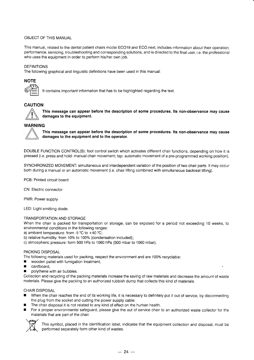#### OBJECT OF THIS MANUAL

This manual, related to the dental patient chairs model ECO19 and ECO.next, includes information about their operation, performance, servicing, troubleshooting and corresponding solutions, and is directed to the final user, i.e. the professional who uses the equipment in order to perform his/her own job.

#### DEFINITIONS

The following graphical and linguistic definitions have been used in this manual:

# **NOTE**

It contains important information that has to be highlighted regarding the text.

### CAUTION



A This message can appear before the description of some procedures. lts non-observance may cause damages to the equipment.

#### WARNING



This message can appear before the description of some procedures. Its non-observance may cause damages to the equipment and to the operator.

DOUBLE FUNCTION CONTROL(S): foot control switch which activates different chair functions, depending on how it is pressed (i.e. press and hold: manual chair movement; tap: automatic movement of a pre-programmed working position).

SYNCHRONIZED MOVEMENT: simultaneous and interdependent variation of the position of two chair parts. It may occur both during a manual or an automatic movement (i.e. chair lifting combined with simultaneous backrest tilting).

PCB; Printed circuit board

CN: Electric connector

PWR: Power supply

LED: Light-emitting diode.

#### TRANSPORTATION AND STORAGE

When the chair is packed for transportation or storage, can be exposed for a period not exceeding 10 weeks, to environmental conditions in the following ranges:

a) ambient temperature: from -5  $^{\circ}$ C to +40  $^{\circ}$ C;

b) relative humidity: from 10% to 100% (condensation included);

c) atmospheric pressure: form 500 hPa to 1060 hPa (500 mbar to 1060 mbar).

#### PACKING DISPOSAL

The following materials used for packing, respect the environment and are 100% recyclable:

- $\blacksquare$  wooden pallet with fumigation treatment,
- **n** cardboard,
- $\blacksquare$  polythene with air bubbles.

Collection and recycling of the packing materials increase the saving of raw materials and decrease the amount of waste materials. Please give the packing to an authorized rubbish dump that collects this kind of materials.

#### CHAIR DISPOSAL

- When the chair reaches the end of its working life, it is necessary to definitely put it out of service, by disconnecting the plug from the socket and cutting the power supply cable.
- The chair disposal it is not related to any kind of effect on the human health.
- **For a proper environmental safeguard, please give the out of service chair to an authorized waste collector for the** materials that are part of the chair.



This symbol, placed in the identification label, indicates that the equipment collection and disposal, must be performed separately form other kind of wastes.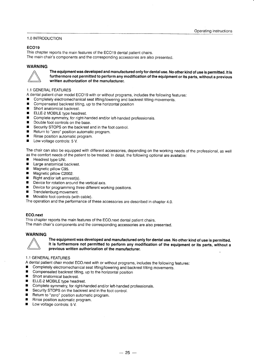#### 1.0 INTRODUCTION

#### ECO19

This chapter reports the main features of the ECO19 dental patient chairs.

The main chair's components and the corresponding accessories are also presented.

#### WARNING



The equipmentwas developed and manufactured onlyfor dental use. No other kind of use is permitted. lt is furthermore not permitted to pertorm any modification of the equipment or its parts, without a previous written authorization of the manufacturer.

#### 1.1 GENERAL FEATURES

- A dental patlent chair model ECO19 with or without programs, includes the following features:
- **■** Completely electromechanical seat lifting/lowering and backrest tilting movements.
- Compensated backrest tilting, up to the horizontal position<br>■ Short anatomical backrest
- Short anatomical backrest.<br>■ ELLE-2 MOBII F type head
- ELLE-2 MOBILE type headrest.
- Complete symmetry, for right-handed and/or left-handed professionals.
- Double foot controls on the base.<br>■ Security STOPS on the backrest a
- Security STOPS on the backrest and in the foot control.<br>■ Return to "zero" position automatic program
- Return to "zero" position automatic program.
- Rinse position automatic program.
- Low voltage controls: 5 V.

The chair can also be equipped with different accessories, depending on the working needs of the professional, as well as the comfort needs of the patient to be treated. ln detail, the following optional are available:

- Headrest type UNI.
- **E** Large anatomical backrest.
- Magnetic pillow C95.
- Magnetic pillow C2002.
- Right and/or left armrest(s).
- Device for rotation around the vertical axis.
- $\blacksquare$  Device for programming three different working positions.
- Trendelenburg movement.
- **R** Movable foot controls (with cable).

The operation and the performance of these accessories are described in chapter 4.0.

#### ECO.next

This chapter reports the main features of the ECO.next dental patient chairs. The main chair's components and the corresponding accessories are also presented.

#### WARNING



The equipment was developed and manufactured only for dental use. No other kind of use is permitted. It is furthermore not permitted to perform any modification of the equipment or its parts, without <sup>a</sup> previous written authorization of the manufacturer.

#### 1.1 GENERAL FEATURES

A dental patient chair model ECO.next with or without programs, includes the following features:<br>
Completely electromechanical seat lifting/lowering and backroot tilting movements

- Completely electromechanical seat lifting/lowering and backrest tilting movements.<br>■ Compensated backrest tilting up to the borizontal position
- $\blacksquare$  Compensated backrest tilting, up to the horizontal position  $\blacksquare$  Short anatomical backrest
- 
- Short anatomical backrest.<br>■ ELLE-2 MOBILE type headrest.<br>■ Complete symmetry for right b
- Complete symmetry, for right-handed and/or left-handed professionals.
- Security STOPS on the backrest and in the foot control.<br>■ Beturn to "zoro" position automatic program
- Return to "zero" position automatic program.<br>Rinse position automatic program.
- 
- Low voltage controls: 5 V.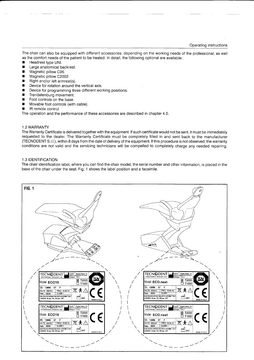The chair can also be equipped with different accessories, depending on the working needs of the professional, as well as the comfort needs of the patient to be treated. ln detail, the following optional are available:

- **E** Headrest type UNI.
- **E** Large anatomical backrest.
- Magnetic pillow C95.
- 
- Magnetic pillow C2002.<br>■ Right and/or left armrest(s).
- **EXECUTE:** Right and/or left armrest(s). In Device for rotation around the vertical axis.
- Device for programming three different working positions.
- Trendelenburg movement.
- Foot controls on the base.
- Movable foot controls (with cable).
- **R** IR remote control

The operation and the performance of these accessories are described in chapter 4.0.

#### 1.2 WARRANTY

The Warranty Certiticate is delivered together with the equipment. lf such certificate would not be sent, it must be immediately requested to the dealer. The Warranty Certificate must be completely filled in and sent back to the manufacturer (TECNODENT S.r.l.), within 8 days from the date of delivery of the equipment. lf this procedure is not observed, the warranty conditions are not valid and the servicing technicians will be compelled to completely charge any needed repairing.

#### 1.3 IDENTIFICATION

The chair identification label, where you can find the chair model, the serial number and other information, is placed in the base of the chair under the seat. Fig. 1 shows the label position and a facsimile.

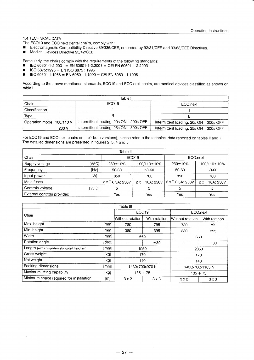#### 1.4 TECHNICAL DATA

- The ECO19 and ECO.next dental chairs, comply with:<br>
Flectromagnetic Compatibility Directive 89/336/CB
- Electromagnetic Compatibility Directive 89/336/CEE, emended by 92/31/CEE and 93/68/CEE Directives.<br>■ Medical Devices Directive 93/42/CEE.
- Medical Devices Directive 93/42/CEE.

Particularly, the chairs comply with the requirements of the following standards:<br>
■ IEC 60601-1-2:2001 = EN 60601-1-2:2001 = CEI EN 60601-1-2:2003<br>
■ IEC 60601-1:1988 = EN 60601-1:1990 = CEI EN 60601-1:1998

- 
- 
- $FC 60601-1:1988 = EN 60601-1:1990 = CEI EN 60601-1:1998$

According to the above mentioned standards, ECO19 and ECO.next chairs, are medical devices classified as shown on table l.

| Table I                    |       |                                         |                                         |  |  |
|----------------------------|-------|-----------------------------------------|-----------------------------------------|--|--|
| Chair                      |       | ECO <sub>19</sub>                       | ECO.next                                |  |  |
| Classification             |       |                                         |                                         |  |  |
| Type                       |       |                                         |                                         |  |  |
| Operation mode   100/110 V |       | Intermittent loading, 20s ON - 200s OFF | Intermittent loading, 20s ON - 200s OFF |  |  |
|                            | 230 V | Intermittent loading, 25s ON - 300s OFF | Intermittent loading, 25s ON - 300s OFF |  |  |

For ECO19 and ECO.next chairs (in their both versions), please refer to the technical data reported on tables ll and lll. The detailed dimensions are presented in figures 2, 3, 4 and 5.

| Table II                   |       |                   |                 |                         |                 |  |
|----------------------------|-------|-------------------|-----------------|-------------------------|-----------------|--|
| Chair                      |       | ECO <sub>19</sub> |                 |                         | ECO.next        |  |
| Supply voltage             | [VAC] | $230 \pm 10\%$    | 100/110±10%     | $230 \pm 10\%$          | 100/110±10%     |  |
| Frequency                  | [Hz]  | 50-60             | 50-60           | 50-60                   | 50-60           |  |
| Input power                | [W]   | 850               | 700             | 850                     | 700             |  |
| Main fuses                 |       | 2 x T 6,3A; 250V  | 2 x T 10A; 250V | $2 \times T$ 6,3A; 250V | 2 x T 10A; 250V |  |
| Controls voltage           | [VDC] | 5                 | 5               |                         |                 |  |
| External controls provided |       | Yes               | Yes             | Yes                     | Yes             |  |

|                                             |       | Table III         |               |                  |               |
|---------------------------------------------|-------|-------------------|---------------|------------------|---------------|
| Chair                                       |       | ECO <sub>19</sub> |               | ECO.next         |               |
|                                             |       | Without rotation  | With rotation | Without rotation | With rotation |
| Max. height                                 | [mm]  | 780               | 795           | 780              | 795           |
| Min. height                                 | [mm]  | 380               | 395           | 380              | 395           |
| Width                                       | [mm]  | 660               |               | 660              |               |
| Rotation angle                              | [deg] |                   | ±30           |                  | ±30           |
| Length (with completely elongated headrest) | [mm]  | 1950              |               | 2050             |               |
| Gross weight                                | [kg]  | 170               |               | 170              |               |
| Net weight                                  | [kg]  | 140               |               | 140              |               |
| Packing dimensions                          | [mm]  | 1430x700x970 h    |               | 1430x700x1105 h  |               |
| Maximum lifting capability                  | [kg]  | $135 + 75$        |               | $135 + 75$       |               |
| Minimum space required for installation     | [m]   | $3 \times 2$      | $3 \times 3$  | 3x2              | $3 \times 3$  |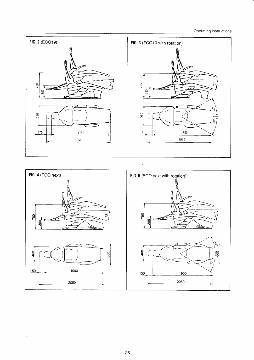Operating instructions



 $\overline{\phantom{a}}$ 

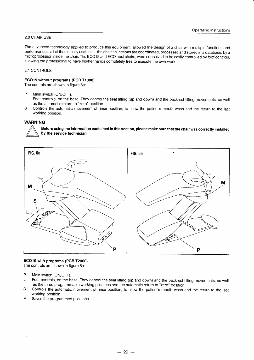#### 2.0 CHAIR USE

The advanced technology applied to produce this equipment, allowed the design of a chair with multiple functions and performances, all of them easily usable: all the chair's functions are coordinated, processed and stored in a database, by <sup>a</sup> microprocessor inside the chair. The ECO19 and ECO.next chairs, were conceived to be easily controlled by foot controls, allowing the professional to have his/her hands completely free to execute the own work.

#### 2.1 CONTROLS

#### ECO19 without programs (PCB T1000)

The controls are shown in figure 6a:

- P Main switch (ON/OFF).<br>L Foot controls, on the b.
- Foot controls, on the base. They control the seat lifting (up and down) and the backrest tilting movements, as well as the automatic return to "zero" position.
- S Controls the automatic movement of rinse position, to allow the patient's mouth wash and the return to the last working position.

#### WARNING

Before using the information contained in this section, please make sure that the chair was correcfly installed by the service technician.



#### ECO19 with programs (PCB T2000)

The controls are shown in figure 6a:

- P Main switch (ON/OFF).
- L Foot controls, on the base. They control the seat lifting (up and down) and the backrest tilting movements, as well as the three programmable working positions and the automatic return to "zero" position.
- S Controls the automatic movement of rinse position, to allow the patient's mouth wash and the return to the last working position.
- M Saves the programmed positions.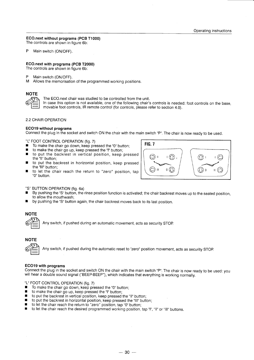#### ECO.next without programs (PCB T1000)

The controls are shown in figure 6b:

P Main switch (ON/OFF).

#### ECO.next with programs (PCB T2000)

The controls are shown in figure 6b:

- P Main switch (ON/OFF).<br>M Allows the memorisatic
- Allows the memorisation of the programmed working positions.

## **NOTE**

The ECO.next chair was studied to be controlled from the unit.

ln case this option is not available, one of the following chair's controls is needed: foot controls on the base, movable foot controls, lR remote control (for controls, please refer to section 4.0).

#### 2.2 CHAIR OPERATION

#### ECO19 without programs

Connect the plug in the socket and switch ON the chair with the main switch "P". The chair is now ready to be used.

"L" FOOT CONTROL OPERATION (fig. 7)

- $\blacksquare$  To make the chair go down, keep pressed the "0" button;<br> $\blacksquare$  to make the chair go up keep pressed the "I" button;
- $\blacksquare$  to make the chair go up, keep pressed the "I" button;<br> $\blacksquare$  to put the backrest in vertical position, keep
- to put the backrest in vertical position, keep pressed
- the "ll" button; to put the backrest in horizontal position, keep pressed the "III" button:
- $\blacksquare$  to let the chair reach the return to "zero" position, tap "0" button.



- "S' BUTTON OPERATION (fig. 6a)
- By pushing the "S" button, the rinse position function is activated; the chair backrest moves up to the seated position, to allow the mouthwash:
- by pushing the "S" button again, the chair backrest moves back to its last position.

# **NOTE**

Any switch, if pushed during an automatic movement, acts as security STOP

# **NOTE**

te<br>1

Any switch, if pushed during the automatic reset to "zero" position movement, acts as security STOP

#### ECO19 with programs

Connect the plug in the socket and switch ON the chair with the main switch "P". The chair is now ready to be used: you will hear a double sound signal ("BEEP-BEEP"), which indicates that everything is working normally.

"L" FOOT CONTROL OPERATION (fig. 7)<br>■ To make the chair go down, keep pro

- $\blacksquare$  To make the chair go down, keep pressed the "0" button;<br> $\blacksquare$  to make the chair go up, keep pressed the "1" button;
- $\blacksquare$  to make the chair go up, keep pressed the "I" button;<br> $\blacksquare$  to put the backrest in vertical position, keep pressed
- **to put the backrest in vertical position, keep pressed the "II" button;**  $\blacksquare$  to put the backrest in borizontal position, keep pressed the "III" butt
- 
- **r** to put the backrest in horizontal position, keep pressed the "III" button;<br>**r** to let the chair reach the return to "zero" position, tap "0" button;  $\blacksquare$  to let the chair reach the return to "zero" position, tap "0" button;<br> $\blacksquare$  to let the chair reach the desired programmed working position
- to let the chair reach the desired programmed working position, tap "I", "II" or "III" buttons.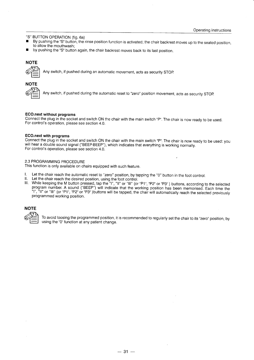"S" BUTTON OPERATION (fig. 6a)

- By pushing the "S" button, the rinse position function is activated; the chair backrest moves up to the seated position, to allow the mouthwash;
- by pushing the "S" button again, the chair backrest moves back to its last position.

#### **NOTE**



Any switch, if pushed during an automatic movement, acts as security STOp

# **NOTE**

Any switch, if pushed during the automatic reset to "zero" position movement, acts as security STOp

#### ECO.next without programs

Connect the plug in the sockei and switch ON the chair with the main switch "P". The chair is now ready to be used. For control's operation, please see section 4.0.

#### ECO.next with programs

Connect the plug in the socket and switch ON the chair with the main switch "P". The chair is now ready to be used: you will hear a double sound signal ("BEEP-BEEP"), which indicates that everything is working normally. For control's operation, please see section 4.0.

#### 2,3 PROGRAMMING PROCEDURE

This function is only available on chairs equipped with such feature.

- 
- 
- I. Let the chair reach the automatic reset to "zero" position, by tapping the "0" button in the foot control.<br>II. Let the chair reach the desired position, using the foot control.<br>III. While keeping the M button pressed, t , "II" or "III" (or "P1", "P2" or "P3" ) buttons, according to the selected program number. A sound ("BEEP") will indicate that the working position has been memorised. Each time the<br>"I", "II" or "III" (or "P1", "P2" or "P3" )buttons will be tapped, the chair will automatically reach the selected programmed working position.

#### **NOTE**



To avoid loosing the programmed position, it is recommended to regularly set the chair to its "zero" position, by using the "0" function at any patient change.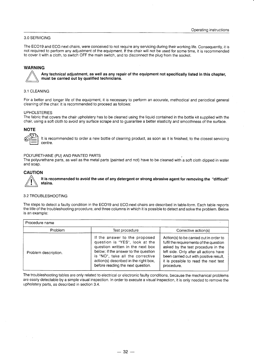#### 3.0 SERVICING

The ECO19 and ECO.next chairs, were conceived to not require any servicing during their working life. Consequently, it is not required to perform any adjustment of the equipment. lf the chair will not be used for some time, it is recommended to cover it with a cloth, to switch OFF the main switch, and to disconnect the plug from the socket.

#### WARNING



Any technical adjustment, as well as any repair of the equipment not specifically listed in this chapter, must be carried out by qualified technicians.

#### 3.1 CLEANING

For a better and longer life of the equipment, it is necessary to perform an accurate, methodical and periodical general cleaning of the chair. lt is recommended to proceed as follows:

#### UPHOLSTERIES

The fabric that covers the chair upholstery has to be cleaned using the liquid contained in the bottle kit supplied with the chair, using a soft cloth to avoid any surface scrape and to guarantee a better elasticity and smoothness of the surface.

#### **NOTE**



It is recommended to order a new bottle of cleaning product, as soon as it is finished, to the closest servicing centre.

#### POLYUBETHANE (PU) AND PAINTED PARTS

The polyurethane parts, as well as the metal parts (painted and not) have to be cleaned with a soft cloth dipped in water and soap.

#### **CAUTION**

It is recommended to avoid the use of any detergent or strong abrasive agent for removing the "ditficult" stains.

#### 3,2 TROUBLESHOOTING

The steps to detect a faulty condition in the ECO19 and ECO.next chairs are described in table-form. Each table reports the title of the troubleshooting procedure, and three columns in which it is possible to detect and solve the problem. Below is an example:

| Procedure name       |                                                                                                                                                                                                                                                               |                                                                                                                                                                                                                                                                    |  |  |  |
|----------------------|---------------------------------------------------------------------------------------------------------------------------------------------------------------------------------------------------------------------------------------------------------------|--------------------------------------------------------------------------------------------------------------------------------------------------------------------------------------------------------------------------------------------------------------------|--|--|--|
| Problem              | Test procedure                                                                                                                                                                                                                                                | Corrective action(s)                                                                                                                                                                                                                                               |  |  |  |
| Problem description. | If the answer to the proposed<br>question is "YES", look at the<br>question written in the next box<br>below; if the answer to the question<br>is "NO", take all the corrective<br>action(s) described in the right box,<br>before reading the next question. | Action(s) to be carried out in order to<br>fulfil the requirements of the question<br>asked by the test procedure in the<br>left side. Only after all actions have<br>been carried out with positive result,<br>it is possible to read the next test<br>procedure. |  |  |  |

The troubleshooting tables are only related to electrical or electronic faulty conditions, because the mechanical problems are easily detectable by a simple visual inspection. ln order to execute a visual inspection, it is only needed to remove the upholstery parts, as described in section 3.4.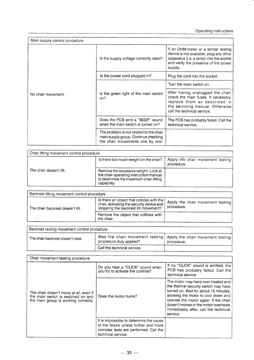Operating instructions

| Main supply control procedure |                                                                                                                    |                                                                                                                                                                               |  |  |  |
|-------------------------------|--------------------------------------------------------------------------------------------------------------------|-------------------------------------------------------------------------------------------------------------------------------------------------------------------------------|--|--|--|
|                               | Is the supply voltage correctly rated?                                                                             | If an OHM-meter or a similar testing<br>device is not available, plug any other<br>apparatus (i.e. a lamp) into the socket<br>and verify the presence of the power<br>supply. |  |  |  |
|                               | Is the power cord plugged in?                                                                                      | Plug the cord into the socket.                                                                                                                                                |  |  |  |
|                               |                                                                                                                    | Turn the main switch on.                                                                                                                                                      |  |  |  |
| No chair movement.            | Is the green light of the main switch<br>on?                                                                       | After having unplugged the chair,<br>check the main fuses. If necessary,<br>replace them as described in<br>the servicing manual. Otherwise<br>call the technical service.    |  |  |  |
|                               | Does the PCB emit a "BEEP" sound<br>when the main switch is turned on?                                             | The PCB has probably failed. Call the<br>technical service.                                                                                                                   |  |  |  |
|                               | The problem is not related to the chair<br>main supply group. Continue checking<br>the chair movements one by one. |                                                                                                                                                                               |  |  |  |

 $\ddot{\phantom{0}}$ 

 $\ddot{\phantom{a}}$ 

| Chair lifting movement control procedure |                                                                                                                                        |                                                |
|------------------------------------------|----------------------------------------------------------------------------------------------------------------------------------------|------------------------------------------------|
|                                          | Is there too much weight on the chair?                                                                                                 | Apply the chair movement testing<br>procedure. |
| The chair doesn't lift.                  | Remove the excessive weight. Look at<br>the chair operating instruction manual<br>to determine the maximum chair lifting<br>capability |                                                |

| Backrest tilting movement control procedure |                                                                                                                                |                                                |  |  |  |  |
|---------------------------------------------|--------------------------------------------------------------------------------------------------------------------------------|------------------------------------------------|--|--|--|--|
| The chair backrest doesn't tilt.            | Is there an object that collides with the<br>chair, activating the security device and<br>stopping the backrest tilt movement? | Apply the chair movement testing<br>procedure. |  |  |  |  |
|                                             | Remove the object that collides with<br>the chair.                                                                             |                                                |  |  |  |  |

| Backrest raising movement control procedure |                                                                                                |            |  |  |  |
|---------------------------------------------|------------------------------------------------------------------------------------------------|------------|--|--|--|
| The chair backrest doesn't raise            | Was the chair movement testing   Apply the chair movement testing  <br>procedure duly applied? | procedure. |  |  |  |
|                                             | Call the technical service.                                                                    |            |  |  |  |

| Chair movement testing procedure                                                                                     |                                                                                                                                                  |                                                                                                                                                                                                                                                                                                  |  |  |  |
|----------------------------------------------------------------------------------------------------------------------|--------------------------------------------------------------------------------------------------------------------------------------------------|--------------------------------------------------------------------------------------------------------------------------------------------------------------------------------------------------------------------------------------------------------------------------------------------------|--|--|--|
|                                                                                                                      | Do you hear a "CLICK" sound when<br>you try to activate the controls?                                                                            | If no "CLICK" sound is emitted, the<br>PCB has probably failed. Call the<br>technical service.                                                                                                                                                                                                   |  |  |  |
| The chair doesn't move at all, even if<br>the main switch is switched on and<br>the main group is working correctly. | Does the motor hums?                                                                                                                             | The motor may have over-heated and<br>the thermal security switch may have<br>turned on. Wait for about 15 minutes.<br>allowing the motor to cool down and<br>operate the motor again. If the chair<br>doesn't moves or the motor overheats<br>immediately after, call the technical<br>service. |  |  |  |
|                                                                                                                      | It is impossible to determine the cause<br>of the failure unless further and more<br>complex tests are performed. Call the<br>technical service. |                                                                                                                                                                                                                                                                                                  |  |  |  |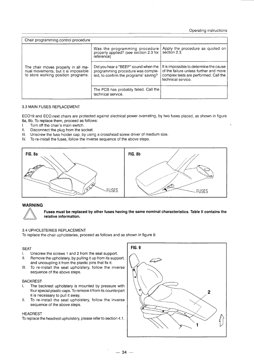Operating instructions

| Chair programming control procedure                                                                                |                                                                                                                    |                                                                                                                                                  |  |  |  |
|--------------------------------------------------------------------------------------------------------------------|--------------------------------------------------------------------------------------------------------------------|--------------------------------------------------------------------------------------------------------------------------------------------------|--|--|--|
|                                                                                                                    | Was the programming procedure<br>properly applied? (see section 2.3 for<br>reference)                              | Apply the procedure as quoted on<br>section 2.3.                                                                                                 |  |  |  |
| The chair moves properly in all ma-<br>nual movements, but it is impossible<br>to store working position programs. | Did you hear a "BEEP" sound when the<br>programming procedure was comple-<br>ted, to confirm the programs' saving? | It is impossible to determine the cause<br>of the failure unless further and more<br>complex tests are performed. Call the<br>technical service. |  |  |  |
|                                                                                                                    | The PCB has probably failed. Call the<br>technical service.                                                        |                                                                                                                                                  |  |  |  |

#### 3.3 MAIN FUSES REPLACEMENT

ECO19 and ECO.next chairs are protected against electrical power overrating, by two fuses placed, as shown in figure 8a, 8b. To replace them, proceed as follows:<br>I. Turn off the chair's main switch.

- L Turn off the chair's main switch.<br>II. Disconnect the plug from the so
- II. Disconnect the plug from the socket.<br>III. Unscrew the fuse holder cap, by usin
- III. Unscrew the fuse holder cap, by using a crosshead screw driver of medium size.<br>IV. To re-install the fuses, follow the inverse sequence of the above steps.
- To re-install the fuses, follow the inverse sequence of the above steps.





#### Fuses must be replaced by other fuses having the same nominal characteristics. Table ll contains the relative information.

#### 3.4 UPHOLSTERIES REPLACEMENT

To replace the chair upholsteries, proceed as follows and as shown in figure 9:

#### SEAT

- l. Unscrew the screws 1 and 2 from the seat support.
- ll. Remove the upholstery, by pulling it up from its support, and uncoupling it from the plastic pins that fix it.
- lll. To re-install the seat upholstery, follow the inverse sequence of the above steps.

#### BACKREST

- l. The backrest upholstery is mounted by pressure with four special plastic caps. To remove it from its counterpart it is necessary to pull it away.
- II. To re-install the seat upholstery, follow the inverse sequence of the above steps.

#### HEADREST

To replace the headrest upholstery, please refer to section 4.1.

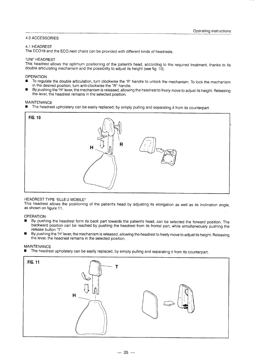#### 4.0 ACCESSORIES

#### 4.1 HEADREST

The ECO19 and the ECO.next chairs can be provided with different kinds of headrests.

#### "UNI" HEADREST

This headrest allows the optimum positioning of the patient's head, according to the required treatment, thanks to its double articulating mechanism and the possibility to adjust its height (see fig. 1b).

#### **OPERATION**

- To regulate the double articulation, turn clockwise the "R" handle to unlock the mechanism. To lock the mechanism in the desired position, turn anti-clockwise the "R" handle.
- By pushing the "H" lever, the mechanism is released, allowing the headrest to freely move to adjust its height. Releasing the lever, the headrest remains in the selected position.

#### MAINTENANCE

The headrest upholstery can be easily replaced, by simply pulling and separating it from its counterpart.



#### HEADREST TYPE "ELLE-2 MOBILE"

This headrest allows the positioning of the patient's head by adjusting its elongation as well as its inclination angle, as shown on figure 11.

#### **OPERATION**

- By pushing the headrest form its back part towards the patient's head, can be selected the forward position. The backward position can be reached by pushing the headrest from its frontal part, while simultaneously pushing the release button "T".
- By pushing the "H" lever, the mechanism is released, allowing the headrest to freely move to adjust its height. Releasing the lever, the headrest remains in the selected position.

MAINTENANCE

The headrest upholstery can be easily replaced, by simply pulling and separating it from its counterpart.

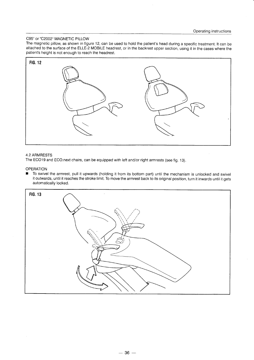#### C95" or'C20O2' MAGNETIC PILLOW

The magnetic pillow, as shown in figure 12, can be used to hold the patient's head during a specific treatment. It can be attached to the surface of the ELLE-2 MOBILE headrest, or in the backrest upper section, using it in the cases where the patient's height is not enough to reach the headrest.



#### 4.2 ARMRESTS

The ECO19 and ECO.next chairs, can be equipped with left and/or right armrests (see fig. 13).

#### **OPERATION**

■ To swivel the armrest, pull it upwards (holding it from its bottom part) until the mechanism is unlocked and swivel it outwards, until it reaches the stroke limit. To move the armrest back to its original position, turn it inwards until it gets automatically locked.

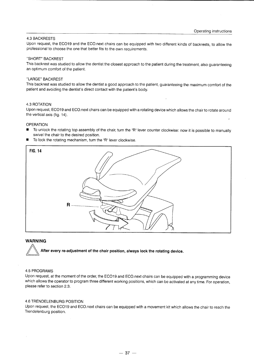#### 4.3 BACKRESTS

Upon request, the ECO19 and the ECO.next chairs can be equipped with two different kinds of backrests, to allow the professional to choose the one that better fits to the own requirements.

#### "SHORT" BACKREST

This backrest was studied to allow the dentist the closest approach to the patient during the treatment, also guaranteeing an optimum comfort of the patient.

#### "LARGE" BACKREST

This backrest was studied to allow the dentist a good approach to the patient, guaranteeing the maximum comfort of the patient and avoiding the dentist's direct contact with the patient's body.

#### 4.3 ROTATION

Upon request, ECO19 and ECO.next chairs can be equipped with a rotating device which allows the chair to rotate around the vertical axis (fig. 14).

#### **OPERATION**

- To unlock the rotating top assembly of the chair, turn the "R" lever counter clockwise: now it is possible to manually swivel the chair to the desired position.
- $\blacksquare$  To lock the rotating mechanism, turn the "R" lever clockwise.



#### **WARNING**

After every re-adjustment of the chair position, always lock the rotating device.

#### 4.5 PROGRAMS

Upon request, at the moment of the order, the ECO19 and ECO.next chairs can be equipped with a programming device which allows the operator to program three different working positions, which can be activated at any time. For operation, please refer to section 2.3.

#### 4.6 TRENDELENBURG POSITION

Upon request, the ECO19 and ECO.next chairs can be equipped with a movement kit which allows the chair to reach the Trendelenburg position.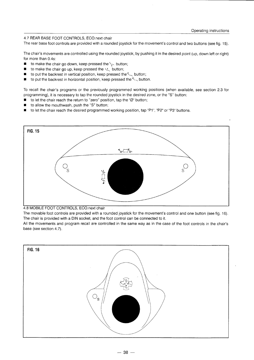#### 4.7 REAR BASE FOOT CONTROLS, ECO.next chair

The rear base foot controls are provided with a rounded joystick for the movement's control and two buttons (see fig. 15).

The chair's movements are controlled using the rounded joystick, by pushing it in the desired point (up, down left or right) for more than 0.4s:

- to make the chair go down, keep pressed the  $\sim$  button;
- to make the chair go up, keep pressed the  $\leq$  button;
- **to put the backrest in vertical position, keep pressed the**  $\leq$  **button;**
- **u** to put the backrest in horizontal position, keep pressed the  $k$ <sup>-</sup> button.

To recall the chair's programs or the previously programmed working positions (when available, see section 2.3 for programming). it is necessary to tap the rounded joystick in the desired zone, or the "S" button:

- to let the chair reach the return to "zero" position, tap the "Ø" button;
- to allow the mouthwash, push the "S" button;
- to let the chair reach the desired programmed working position, tap "P1", "P2" or "P3" buttons.





The chair is provided with a DIN socket, and the foot control can be connected to it. The movable foot controls are provided with a rounded joystick for the movement's control and one button (see fig. 16)

All the movements and program recall are controlled in the same way as in the case of the foot controls in the chair's base (see section 4.7).

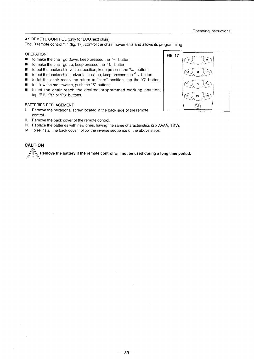#### 4.9 REMOTE CONTROL (only for ECO.next chair)

The lR remote control "T" (fig. 17), control the chair movements and allows its programming.

#### **OPERATION**

- It to make the chair go down, keep pressed the  $\searrow$  button;
- to make the chair go up, keep pressed the  $\Delta t$  button;<br>■ to put the backrest in vertical position, keep pressed the
- to put the backrest in vertical position, keep pressed the  $\sim$  button;
- $\blacksquare$  to put the backrest in horizontal position, keep pressed the  $\sim$  button.
- to let the chair reach the return to "zero" position, tap the "Ø" button;
- $\blacksquare$  to allow the mouthwash, push the "S" button;
- $\blacksquare$  to let the chair reach the desired programmed working position, tap "P1", "P2" or "P3" buttons.

#### BATTERIES REPLACEMENT

- l, Remove the hexagonal screw located in the back side of the remote control.
- ll. Remove the back cover of the remote control.
- lll. Replace the batteries with new ones, having the same characteristics (2 x AAM, 1.5V).
- IV. To re-install the back cover, follow the inverse sequence of the above steps.

### **CAUTION**

Hemove the battery if the remote control will not be used during a long time period.

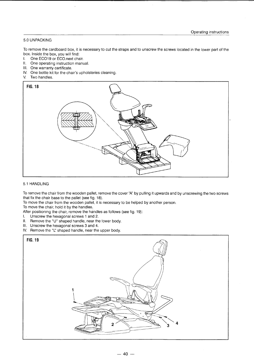#### 5,0 UNPACKING

To remove the cardboard box, it is necessary to cut the straps and to unscrew the screws located in the lower part of the box. Inside the box, you will find:

- I. One ECO19 or ECO.next chair.
- ll. One operating instruction manual.
- lll. One warranty certificate.
- lV. One bottle kit for the chair's upholsteries cleaning.
- V. Two handles.



#### 5.1 HANDLING

To remove the chair from the wooden pallet, remove the cover'A' by pulling it upwards and by unscrewing the two screws that fix the chair base to the pallet (see fig. 18).

To move the chair from the wooden pallet, it is necessary to be helped by another person.

To move the chair, hold it by the handles.

After positioning the chair, remove the handles as follows (see fig. 19):

- l. Unscrew the hexagonal screws 1 and 2.
- ll. Remove the "U" shaped handle, near the lower body.
- lll. Unscrew the hexagonal screws 3 and 4.
- IV. Remove the "L" shaped handle, near the upper body.